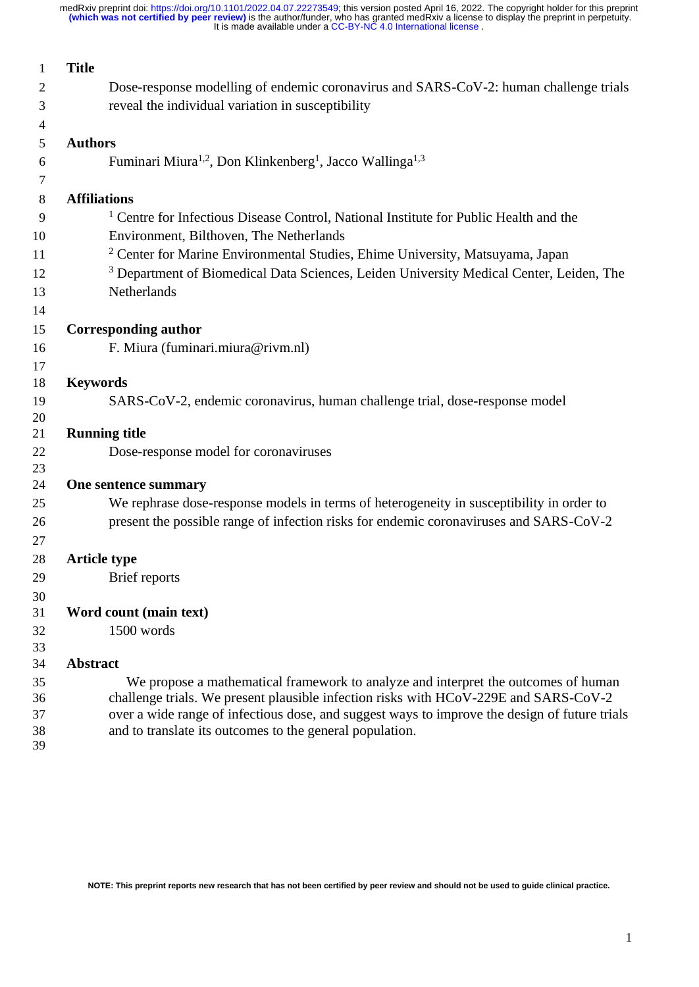| 1                        | <b>Title</b>                                                                                       |  |  |  |  |  |
|--------------------------|----------------------------------------------------------------------------------------------------|--|--|--|--|--|
| 2                        | Dose-response modelling of endemic coronavirus and SARS-CoV-2: human challenge trials              |  |  |  |  |  |
| 3                        | reveal the individual variation in susceptibility                                                  |  |  |  |  |  |
| $\overline{\mathcal{A}}$ |                                                                                                    |  |  |  |  |  |
| 5                        | <b>Authors</b>                                                                                     |  |  |  |  |  |
| 6                        | Fuminari Miura <sup>1,2</sup> , Don Klinkenberg <sup>1</sup> , Jacco Wallinga <sup>1,3</sup>       |  |  |  |  |  |
| 7                        |                                                                                                    |  |  |  |  |  |
| 8                        | <b>Affiliations</b>                                                                                |  |  |  |  |  |
| 9                        | <sup>1</sup> Centre for Infectious Disease Control, National Institute for Public Health and the   |  |  |  |  |  |
| 10                       | Environment, Bilthoven, The Netherlands                                                            |  |  |  |  |  |
| 11                       | <sup>2</sup> Center for Marine Environmental Studies, Ehime University, Matsuyama, Japan           |  |  |  |  |  |
| 12                       | <sup>3</sup> Department of Biomedical Data Sciences, Leiden University Medical Center, Leiden, The |  |  |  |  |  |
| 13                       | Netherlands                                                                                        |  |  |  |  |  |
| 14                       |                                                                                                    |  |  |  |  |  |
| 15                       | <b>Corresponding author</b>                                                                        |  |  |  |  |  |
| 16                       | F. Miura (fuminari.miura@rivm.nl)                                                                  |  |  |  |  |  |
| 17                       |                                                                                                    |  |  |  |  |  |
| 18                       | <b>Keywords</b>                                                                                    |  |  |  |  |  |
| 19                       | SARS-CoV-2, endemic coronavirus, human challenge trial, dose-response model                        |  |  |  |  |  |
| 20                       |                                                                                                    |  |  |  |  |  |
| 21                       | <b>Running title</b>                                                                               |  |  |  |  |  |
| 22                       | Dose-response model for coronaviruses                                                              |  |  |  |  |  |
| 23                       |                                                                                                    |  |  |  |  |  |
| 24                       | One sentence summary                                                                               |  |  |  |  |  |
| 25                       | We rephrase dose-response models in terms of heterogeneity in susceptibility in order to           |  |  |  |  |  |
| 26                       | present the possible range of infection risks for endemic coronaviruses and SARS-CoV-2             |  |  |  |  |  |
| 27                       |                                                                                                    |  |  |  |  |  |
| 28                       | <b>Article type</b>                                                                                |  |  |  |  |  |
| 29                       | Brief reports                                                                                      |  |  |  |  |  |
| 30                       |                                                                                                    |  |  |  |  |  |
| 31                       | Word count (main text)                                                                             |  |  |  |  |  |
| 32                       | 1500 words                                                                                         |  |  |  |  |  |
| 33                       |                                                                                                    |  |  |  |  |  |
| 34                       | <b>Abstract</b>                                                                                    |  |  |  |  |  |
| 35                       | We propose a mathematical framework to analyze and interpret the outcomes of human                 |  |  |  |  |  |
| 36                       | challenge trials. We present plausible infection risks with HCoV-229E and SARS-CoV-2               |  |  |  |  |  |
| 37                       | over a wide range of infectious dose, and suggest ways to improve the design of future trials      |  |  |  |  |  |
| 38                       | and to translate its outcomes to the general population.                                           |  |  |  |  |  |
| 39                       |                                                                                                    |  |  |  |  |  |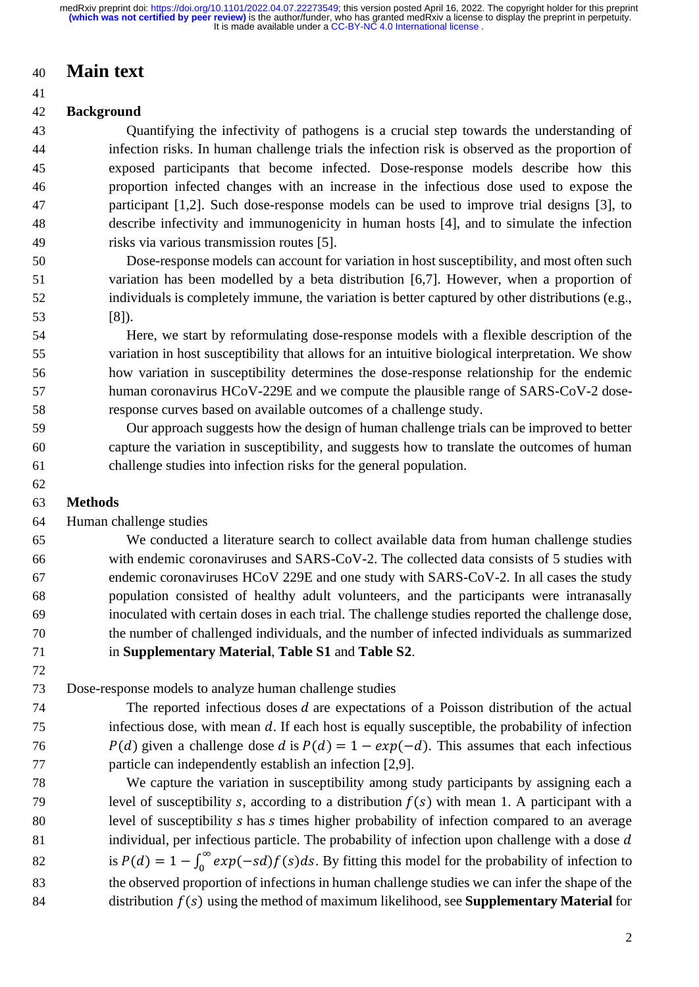# **Main text**

### **Background**

 Quantifying the infectivity of pathogens is a crucial step towards the understanding of infection risks. In human challenge trials the infection risk is observed as the proportion of exposed participants that become infected. Dose-response models describe how this proportion infected changes with an increase in the infectious dose used to expose the participant [1,2]. Such dose-response models can be used to improve trial designs [3], to describe infectivity and immunogenicity in human hosts [4], and to simulate the infection risks via various transmission routes [5].

 Dose-response models can account for variation in host susceptibility, and most often such variation has been modelled by a beta distribution [6,7]. However, when a proportion of individuals is completely immune, the variation is better captured by other distributions (e.g., [8]).

 Here, we start by reformulating dose-response models with a flexible description of the variation in host susceptibility that allows for an intuitive biological interpretation. We show how variation in susceptibility determines the dose-response relationship for the endemic human coronavirus HCoV-229E and we compute the plausible range of SARS-CoV-2 dose-response curves based on available outcomes of a challenge study.

- Our approach suggests how the design of human challenge trials can be improved to better capture the variation in susceptibility, and suggests how to translate the outcomes of human challenge studies into infection risks for the general population.
- 

### **Methods**

#### Human challenge studies

 We conducted a literature search to collect available data from human challenge studies with endemic coronaviruses and SARS-CoV-2. The collected data consists of 5 studies with endemic coronaviruses HCoV 229E and one study with SARS-CoV-2. In all cases the study population consisted of healthy adult volunteers, and the participants were intranasally inoculated with certain doses in each trial. The challenge studies reported the challenge dose, the number of challenged individuals, and the number of infected individuals as summarized in **Supplementary Material**, **Table S1** and **Table S2**.

Dose-response models to analyze human challenge studies

 The reported infectious doses  $d$  are expectations of a Poisson distribution of the actual infectious dose, with mean  $d$ . If each host is equally susceptible, the probability of infection  $P(d)$  given a challenge dose d is  $P(d) = 1 - exp(-d)$ . This assumes that each infectious particle can independently establish an infection [2,9].

 We capture the variation in susceptibility among study participants by assigning each a 79 level of susceptibility s, according to a distribution  $f(s)$  with mean 1. A participant with a 80 level of susceptibility *s* has *s* times higher probability of infection compared to an average 81 individual, per infectious particle. The probability of infection upon challenge with a dose  $d$ is  $P(d) = 1 - \int_0^\infty exp(-sd)f(s)ds$ . By fitting this model for the probability of infection to the observed proportion of infections in human challenge studies we can infer the shape of the 84 distribution  $f(s)$  using the method of maximum likelihood, see **Supplementary Material** for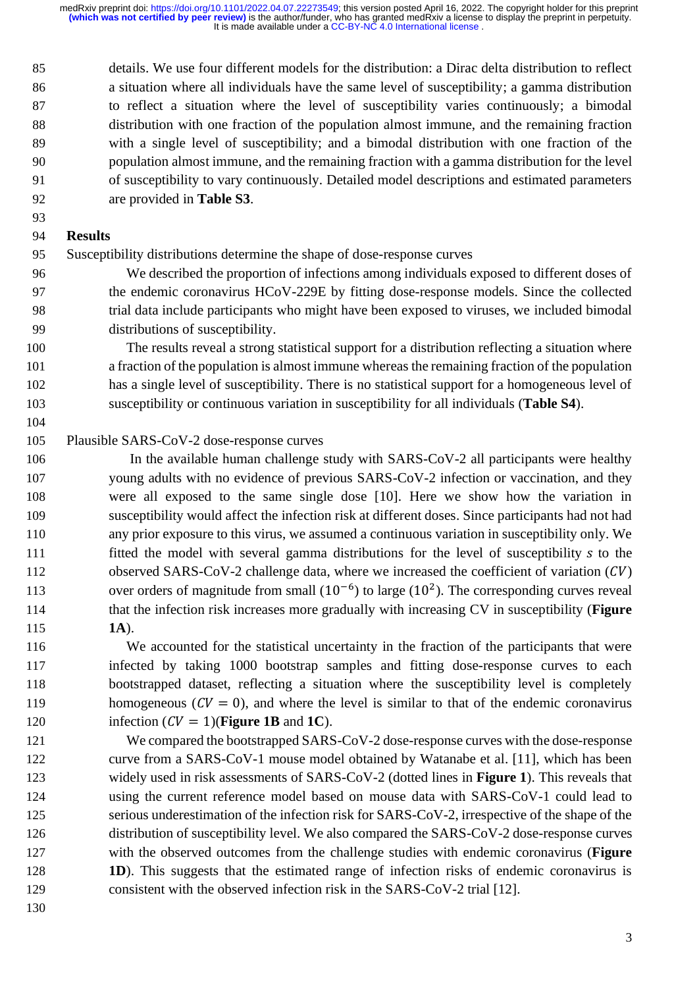details. We use four different models for the distribution: a Dirac delta distribution to reflect a situation where all individuals have the same level of susceptibility; a gamma distribution to reflect a situation where the level of susceptibility varies continuously; a bimodal distribution with one fraction of the population almost immune, and the remaining fraction with a single level of susceptibility; and a bimodal distribution with one fraction of the population almost immune, and the remaining fraction with a gamma distribution for the level of susceptibility to vary continuously. Detailed model descriptions and estimated parameters are provided in **Table S3**.

### **Results**

Susceptibility distributions determine the shape of dose-response curves

 We described the proportion of infections among individuals exposed to different doses of the endemic coronavirus HCoV-229E by fitting dose-response models. Since the collected trial data include participants who might have been exposed to viruses, we included bimodal distributions of susceptibility.

 The results reveal a strong statistical support for a distribution reflecting a situation where a fraction of the population is almost immune whereas the remaining fraction of the population has a single level of susceptibility. There is no statistical support for a homogeneous level of susceptibility or continuous variation in susceptibility for all individuals (**Table S4**).

#### Plausible SARS-CoV-2 dose-response curves

106 In the available human challenge study with SARS-CoV-2 all participants were healthy 107 young adults with no evidence of previous SARS-CoV-2 infection or vaccination, and they were all exposed to the same single dose [10]. Here we show how the variation in susceptibility would affect the infection risk at different doses. Since participants had not had any prior exposure to this virus, we assumed a continuous variation in susceptibility only. We fitted the model with several gamma distributions for the level of susceptibility to the 112 observed SARS-CoV-2 challenge data, where we increased the coefficient of variation  $(CV)$ 113 over orders of magnitude from small  $(10^{-6})$  to large  $(10^2)$ . The corresponding curves reveal that the infection risk increases more gradually with increasing CV in susceptibility (**Figure 1A**).

 We accounted for the statistical uncertainty in the fraction of the participants that were infected by taking 1000 bootstrap samples and fitting dose-response curves to each bootstrapped dataset, reflecting a situation where the susceptibility level is completely 119 homogeneous  $(V = 0)$ , and where the level is similar to that of the endemic coronavirus 120 infection  $(V = 1)$ (**Figure 1B** and **1C**).

 We compared the bootstrapped SARS-CoV-2 dose-response curves with the dose-response curve from a SARS-CoV-1 mouse model obtained by Watanabe et al. [11], which has been widely used in risk assessments of SARS-CoV-2 (dotted lines in **Figure 1**). This reveals that using the current reference model based on mouse data with SARS-CoV-1 could lead to 125 serious underestimation of the infection risk for SARS-CoV-2, irrespective of the shape of the distribution of susceptibility level. We also compared the SARS-CoV-2 dose-response curves with the observed outcomes from the challenge studies with endemic coronavirus (**Figure 1D**). This suggests that the estimated range of infection risks of endemic coronavirus is consistent with the observed infection risk in the SARS-CoV-2 trial [12].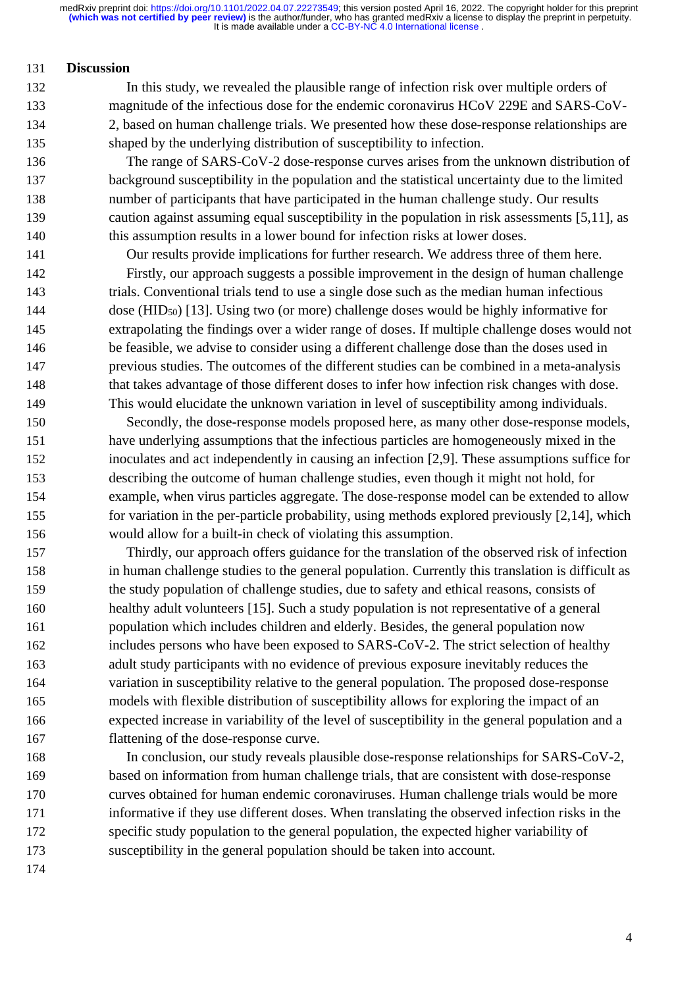#### **Discussion**

- In this study, we revealed the plausible range of infection risk over multiple orders of magnitude of the infectious dose for the endemic coronavirus HCoV 229E and SARS-CoV- 2, based on human challenge trials. We presented how these dose-response relationships are shaped by the underlying distribution of susceptibility to infection.
- The range of SARS-CoV-2 dose-response curves arises from the unknown distribution of background susceptibility in the population and the statistical uncertainty due to the limited number of participants that have participated in the human challenge study. Our results caution against assuming equal susceptibility in the population in risk assessments [5,11], as this assumption results in a lower bound for infection risks at lower doses.

Our results provide implications for further research. We address three of them here.

 Firstly, our approach suggests a possible improvement in the design of human challenge trials. Conventional trials tend to use a single dose such as the median human infectious 144 dose (HID<sub>50</sub>) [13]. Using two (or more) challenge doses would be highly informative for extrapolating the findings over a wider range of doses. If multiple challenge doses would not be feasible, we advise to consider using a different challenge dose than the doses used in previous studies. The outcomes of the different studies can be combined in a meta-analysis that takes advantage of those different doses to infer how infection risk changes with dose. This would elucidate the unknown variation in level of susceptibility among individuals.

 Secondly, the dose-response models proposed here, as many other dose-response models, have underlying assumptions that the infectious particles are homogeneously mixed in the inoculates and act independently in causing an infection [2,9]. These assumptions suffice for describing the outcome of human challenge studies, even though it might not hold, for example, when virus particles aggregate. The dose-response model can be extended to allow for variation in the per-particle probability, using methods explored previously [2,14], which would allow for a built-in check of violating this assumption.

 Thirdly, our approach offers guidance for the translation of the observed risk of infection in human challenge studies to the general population. Currently this translation is difficult as the study population of challenge studies, due to safety and ethical reasons, consists of healthy adult volunteers [15]. Such a study population is not representative of a general population which includes children and elderly. Besides, the general population now includes persons who have been exposed to SARS-CoV-2. The strict selection of healthy adult study participants with no evidence of previous exposure inevitably reduces the variation in susceptibility relative to the general population. The proposed dose-response models with flexible distribution of susceptibility allows for exploring the impact of an expected increase in variability of the level of susceptibility in the general population and a flattening of the dose-response curve.

 In conclusion, our study reveals plausible dose-response relationships for SARS-CoV-2, based on information from human challenge trials, that are consistent with dose-response curves obtained for human endemic coronaviruses. Human challenge trials would be more informative if they use different doses. When translating the observed infection risks in the specific study population to the general population, the expected higher variability of susceptibility in the general population should be taken into account.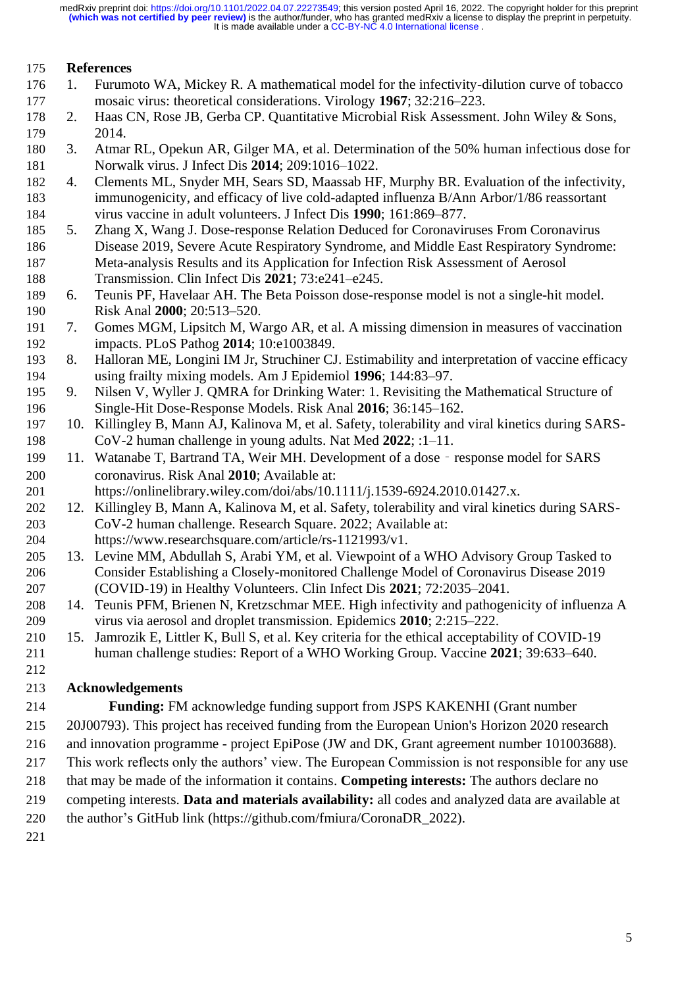#### **References**

- 1. Furumoto WA, Mickey R. A mathematical model for the infectivity-dilution curve of tobacco mosaic virus: theoretical considerations. Virology **1967**; 32:216–223.
- 2. Haas CN, Rose JB, Gerba CP. Quantitative Microbial Risk Assessment. John Wiley & Sons, 2014.
- 3. Atmar RL, Opekun AR, Gilger MA, et al. Determination of the 50% human infectious dose for Norwalk virus. J Infect Dis **2014**; 209:1016–1022.
- 4. Clements ML, Snyder MH, Sears SD, Maassab HF, Murphy BR. Evaluation of the infectivity, immunogenicity, and efficacy of live cold-adapted influenza B/Ann Arbor/1/86 reassortant virus vaccine in adult volunteers. J Infect Dis **1990**; 161:869–877.
- 5. Zhang X, Wang J. Dose-response Relation Deduced for Coronaviruses From Coronavirus Disease 2019, Severe Acute Respiratory Syndrome, and Middle East Respiratory Syndrome: Meta-analysis Results and its Application for Infection Risk Assessment of Aerosol Transmission. Clin Infect Dis **2021**; 73:e241–e245.
- 6. Teunis PF, Havelaar AH. The Beta Poisson dose-response model is not a single-hit model. Risk Anal **2000**; 20:513–520.
- 7. Gomes MGM, Lipsitch M, Wargo AR, et al. A missing dimension in measures of vaccination impacts. PLoS Pathog **2014**; 10:e1003849.
- 8. Halloran ME, Longini IM Jr, Struchiner CJ. Estimability and interpretation of vaccine efficacy using frailty mixing models. Am J Epidemiol **1996**; 144:83–97.
- 9. Nilsen V, Wyller J. QMRA for Drinking Water: 1. Revisiting the Mathematical Structure of Single-Hit Dose-Response Models. Risk Anal **2016**; 36:145–162.
- 10. Killingley B, Mann AJ, Kalinova M, et al. Safety, tolerability and viral kinetics during SARS-CoV-2 human challenge in young adults. Nat Med **2022**; :1–11.
- 199 11. Watanabe T, Bartrand TA, Weir MH. Development of a dose response model for SARS coronavirus. Risk Anal **2010**; Available at:
- https://onlinelibrary.wiley.com/doi/abs/10.1111/j.1539-6924.2010.01427.x.
- 12. Killingley B, Mann A, Kalinova M, et al. Safety, tolerability and viral kinetics during SARS- CoV-2 human challenge. Research Square. 2022; Available at: https://www.researchsquare.com/article/rs-1121993/v1.
- 13. Levine MM, Abdullah S, Arabi YM, et al. Viewpoint of a WHO Advisory Group Tasked to Consider Establishing a Closely-monitored Challenge Model of Coronavirus Disease 2019 (COVID-19) in Healthy Volunteers. Clin Infect Dis **2021**; 72:2035–2041.
- 14. Teunis PFM, Brienen N, Kretzschmar MEE. High infectivity and pathogenicity of influenza A virus via aerosol and droplet transmission. Epidemics **2010**; 2:215–222.
- 15. Jamrozik E, Littler K, Bull S, et al. Key criteria for the ethical acceptability of COVID-19 human challenge studies: Report of a WHO Working Group. Vaccine **2021**; 39:633–640.
- 

### **Acknowledgements**

- **Funding:** FM acknowledge funding support from JSPS KAKENHI (Grant number
- 20J00793). This project has received funding from the European Union's Horizon 2020 research
- and innovation programme project EpiPose (JW and DK, Grant agreement number 101003688).
- This work reflects only the authors' view. The European Commission is not responsible for any use
- that may be made of the information it contains. **Competing interests:** The authors declare no
- competing interests. **Data and materials availability:** all codes and analyzed data are available at
- the author's GitHub link (https://github.com/fmiura/CoronaDR\_2022).
-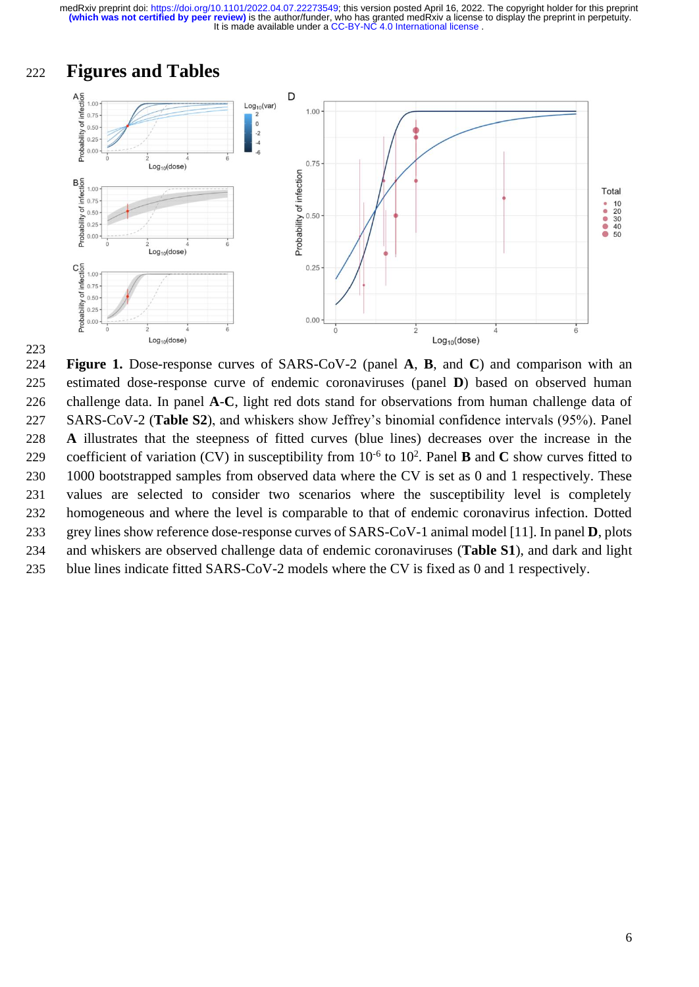It is made available under a CC-BY-NC 4.0 International license. **(which was not certified by peer review)** is the author/funder, who has granted medRxiv a license to display the preprint in perpetuity. medRxiv preprint doi: [https://doi.org/10.1101/2022.04.07.22273549;](https://doi.org/10.1101/2022.04.07.22273549) this version posted April 16, 2022. The copyright holder for this preprint



 **Figure 1.** Dose-response curves of SARS-CoV-2 (panel **A**, **B**, and **C**) and comparison with an estimated dose-response curve of endemic coronaviruses (panel **D**) based on observed human challenge data. In panel **A**-**C**, light red dots stand for observations from human challenge data of SARS-CoV-2 (**Table S2**), and whiskers show Jeffrey's binomial confidence intervals (95%). Panel **A** illustrates that the steepness of fitted curves (blue lines) decreases over the increase in the coefficient of variation (CV) in susceptibility from  $10^{-6}$  to  $10^{2}$ . Panel **B** and **C** show curves fitted to 230 1000 bootstrapped samples from observed data where the CV is set as 0 and 1 respectively. These values are selected to consider two scenarios where the susceptibility level is completely homogeneous and where the level is comparable to that of endemic coronavirus infection. Dotted grey lines show reference dose-response curves of SARS-CoV-1 animal model [11]. In panel **D**, plots and whiskers are observed challenge data of endemic coronaviruses (**Table S1**), and dark and light blue lines indicate fitted SARS-CoV-2 models where the CV is fixed as 0 and 1 respectively.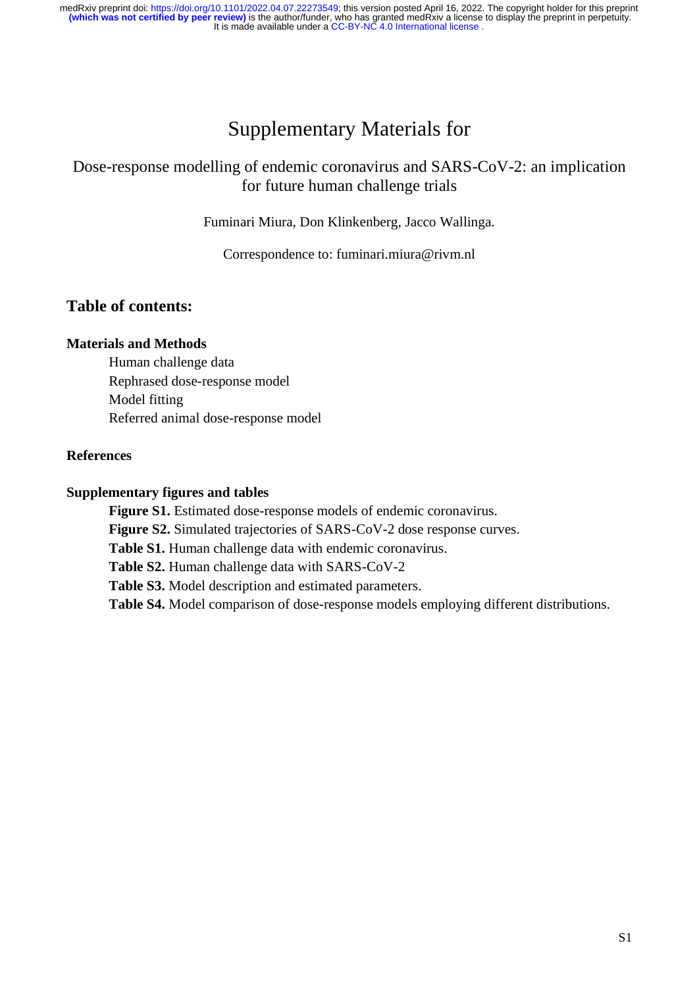# Supplementary Materials for

# Dose-response modelling of endemic coronavirus and SARS-CoV-2: an implication for future human challenge trials

Fuminari Miura, Don Klinkenberg, Jacco Wallinga.

Correspondence to: fuminari.miura@rivm.nl

## **Table of contents:**

#### **Materials and Methods**

Human challenge data Rephrased dose-response model Model fitting Referred animal dose-response model

#### **References**

#### **Supplementary figures and tables**

**Figure S1.** Estimated dose-response models of endemic coronavirus.

**Figure S2.** Simulated trajectories of SARS-CoV-2 dose response curves.

**Table S1.** Human challenge data with endemic coronavirus.

**Table S2.** Human challenge data with SARS-CoV-2

**Table S3.** Model description and estimated parameters.

**Table S4.** Model comparison of dose-response models employing different distributions.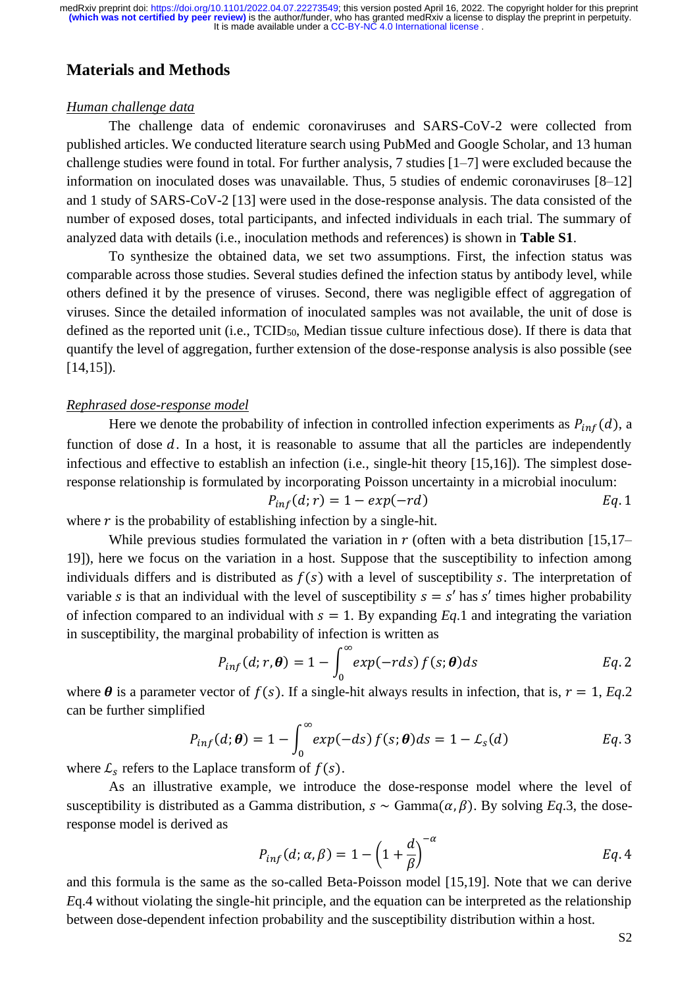### **Materials and Methods**

#### *Human challenge data*

The challenge data of endemic coronaviruses and SARS-CoV-2 were collected from published articles. We conducted literature search using PubMed and Google Scholar, and 13 human challenge studies were found in total. For further analysis, 7 studies [1–7] were excluded because the information on inoculated doses was unavailable. Thus, 5 studies of endemic coronaviruses [8–12] and 1 study of SARS-CoV-2 [13] were used in the dose-response analysis. The data consisted of the number of exposed doses, total participants, and infected individuals in each trial. The summary of analyzed data with details (i.e., inoculation methods and references) is shown in **Table S1**.

To synthesize the obtained data, we set two assumptions. First, the infection status was comparable across those studies. Several studies defined the infection status by antibody level, while others defined it by the presence of viruses. Second, there was negligible effect of aggregation of viruses. Since the detailed information of inoculated samples was not available, the unit of dose is defined as the reported unit (i.e., TCID<sub>50</sub>, Median tissue culture infectious dose). If there is data that quantify the level of aggregation, further extension of the dose-response analysis is also possible (see  $[14,15]$ .

#### *Rephrased dose-response model*

Here we denote the probability of infection in controlled infection experiments as  $P_{inf}(d)$ , a function of dose  $d$ . In a host, it is reasonable to assume that all the particles are independently infectious and effective to establish an infection (i.e., single-hit theory [15,16]). The simplest doseresponse relationship is formulated by incorporating Poisson uncertainty in a microbial inoculum:

$$
P_{inf}(d;r) = 1 - exp(-rd)
$$
 Eq. 1

where  $r$  is the probability of establishing infection by a single-hit.

While previous studies formulated the variation in  $r$  (often with a beta distribution [15,17– 19]), here we focus on the variation in a host. Suppose that the susceptibility to infection among individuals differs and is distributed as  $f(s)$  with a level of susceptibility s. The interpretation of variable *s* is that an individual with the level of susceptibility  $s = s'$  has *s'* times higher probability of infection compared to an individual with  $s = 1$ . By expanding *Eq.*1 and integrating the variation in susceptibility, the marginal probability of infection is written as

$$
P_{inf}(d;r,\boldsymbol{\theta})=1-\int_0^\infty exp(-rds)\,f(s;\boldsymbol{\theta})ds
$$
 Eq. 2

where  $\theta$  is a parameter vector of  $f(s)$ . If a single-hit always results in infection, that is,  $r = 1$ , *Eq.*2 can be further simplified

$$
P_{inf}(d; \boldsymbol{\theta}) = 1 - \int_0^{\infty} exp(-ds) f(s; \boldsymbol{\theta}) ds = 1 - \mathcal{L}_s(d) \qquad Eq. 3
$$

where  $\mathcal{L}_s$  refers to the Laplace transform of  $f(s)$ .

As an illustrative example, we introduce the dose-response model where the level of susceptibility is distributed as a Gamma distribution,  $s \sim \text{Gamma}(\alpha, \beta)$ . By solving *Eq.3*, the doseresponse model is derived as

$$
P_{inf}(d; \alpha, \beta) = 1 - \left(1 + \frac{d}{\beta}\right)^{-\alpha} \qquad Eq. 4
$$

and this formula is the same as the so-called Beta-Poisson model [15,19]. Note that we can derive *E*q.4 without violating the single-hit principle, and the equation can be interpreted as the relationship between dose-dependent infection probability and the susceptibility distribution within a host.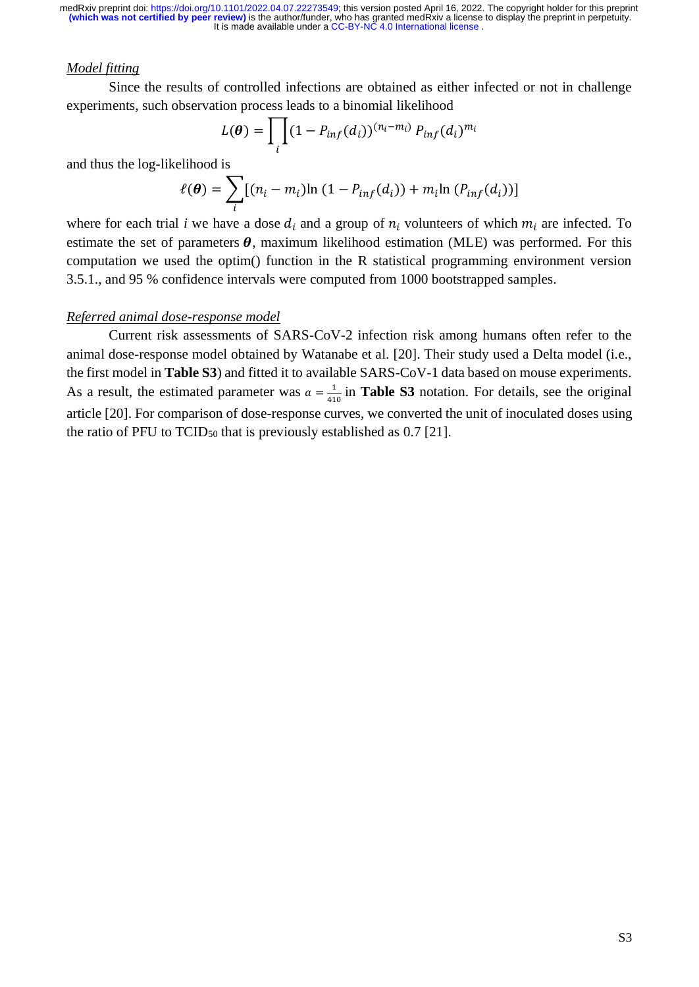#### *Model fitting*

Since the results of controlled infections are obtained as either infected or not in challenge experiments, such observation process leads to a binomial likelihood

$$
L(\boldsymbol{\theta}) = \prod_i (1 - P_{inf}(d_i))^{(n_i - m_i)} P_{inf}(d_i)^{m_i}
$$

and thus the log-likelihood is

$$
\ell(\boldsymbol{\theta}) = \sum_{i} [(n_i - m_i) \ln (1 - P_{inf}(d_i)) + m_i \ln (P_{inf}(d_i))]
$$

where for each trial *i* we have a dose  $d_i$  and a group of  $n_i$  volunteers of which  $m_i$  are infected. To estimate the set of parameters  $\theta$ , maximum likelihood estimation (MLE) was performed. For this computation we used the optim() function in the R statistical programming environment version 3.5.1., and 95 % confidence intervals were computed from 1000 bootstrapped samples.

#### *Referred animal dose-response model*

Current risk assessments of SARS-CoV-2 infection risk among humans often refer to the animal dose-response model obtained by Watanabe et al. [20]. Their study used a Delta model (i.e., the first model in **Table S3**) and fitted it to available SARS-CoV-1 data based on mouse experiments. As a result, the estimated parameter was  $a = \frac{1}{4}$  $\frac{1}{410}$  in **Table S3** notation. For details, see the original article [20]. For comparison of dose-response curves, we converted the unit of inoculated doses using the ratio of PFU to TCID<sup>50</sup> that is previously established as 0.7 [21].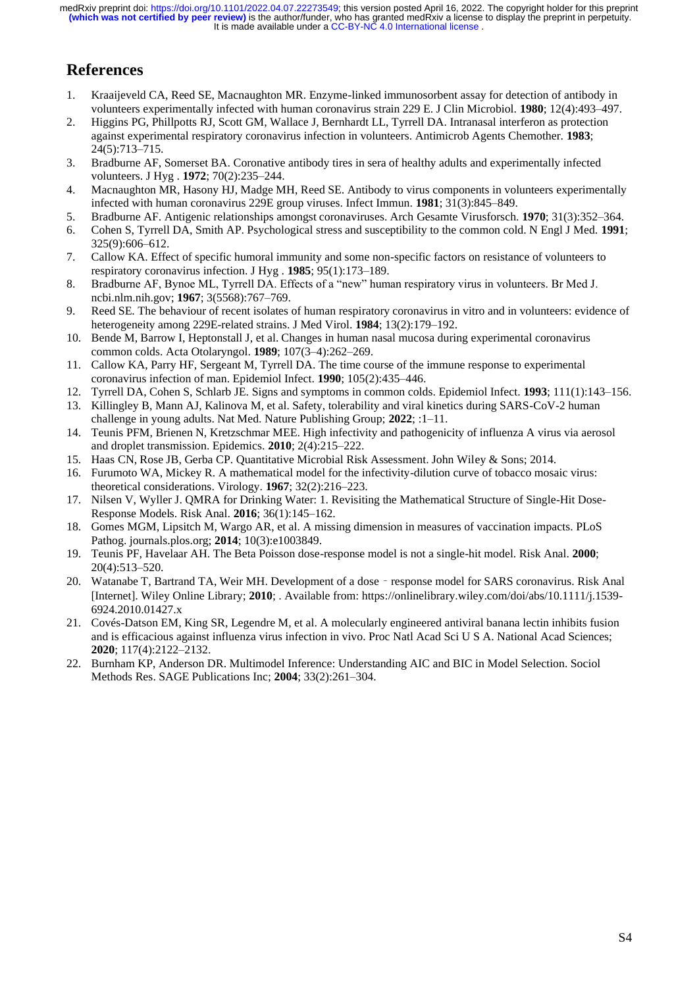# **References**

- 1. Kraaijeveld CA, Reed SE, Macnaughton MR. Enzyme-linked immunosorbent assay for detection of antibody in volunteers experimentally infected with human coronavirus strain 229 E. J Clin Microbiol. **1980**; 12(4):493–497.
- 2. Higgins PG, Phillpotts RJ, Scott GM, Wallace J, Bernhardt LL, Tyrrell DA. Intranasal interferon as protection against experimental respiratory coronavirus infection in volunteers. Antimicrob Agents Chemother. **1983**; 24(5):713–715.
- 3. Bradburne AF, Somerset BA. Coronative antibody tires in sera of healthy adults and experimentally infected volunteers. J Hyg . **1972**; 70(2):235–244.
- 4. Macnaughton MR, Hasony HJ, Madge MH, Reed SE. Antibody to virus components in volunteers experimentally infected with human coronavirus 229E group viruses. Infect Immun. **1981**; 31(3):845–849.
- 5. Bradburne AF. Antigenic relationships amongst coronaviruses. Arch Gesamte Virusforsch. **1970**; 31(3):352–364.
- 6. Cohen S, Tyrrell DA, Smith AP. Psychological stress and susceptibility to the common cold. N Engl J Med. **1991**; 325(9):606–612.
- 7. Callow KA. Effect of specific humoral immunity and some non-specific factors on resistance of volunteers to respiratory coronavirus infection. J Hyg . **1985**; 95(1):173–189.
- 8. Bradburne AF, Bynoe ML, Tyrrell DA. Effects of a "new" human respiratory virus in volunteers. Br Med J. ncbi.nlm.nih.gov; **1967**; 3(5568):767–769.
- 9. Reed SE. The behaviour of recent isolates of human respiratory coronavirus in vitro and in volunteers: evidence of heterogeneity among 229E-related strains. J Med Virol. **1984**; 13(2):179–192.
- 10. Bende M, Barrow I, Heptonstall J, et al. Changes in human nasal mucosa during experimental coronavirus common colds. Acta Otolaryngol. **1989**; 107(3–4):262–269.
- 11. Callow KA, Parry HF, Sergeant M, Tyrrell DA. The time course of the immune response to experimental coronavirus infection of man. Epidemiol Infect. **1990**; 105(2):435–446.
- 12. Tyrrell DA, Cohen S, Schlarb JE. Signs and symptoms in common colds. Epidemiol Infect. **1993**; 111(1):143–156.
- 13. Killingley B, Mann AJ, Kalinova M, et al. Safety, tolerability and viral kinetics during SARS-CoV-2 human challenge in young adults. Nat Med. Nature Publishing Group; **2022**; :1–11.
- 14. Teunis PFM, Brienen N, Kretzschmar MEE. High infectivity and pathogenicity of influenza A virus via aerosol and droplet transmission. Epidemics. **2010**; 2(4):215–222.
- 15. Haas CN, Rose JB, Gerba CP. Quantitative Microbial Risk Assessment. John Wiley & Sons; 2014.
- 16. Furumoto WA, Mickey R. A mathematical model for the infectivity-dilution curve of tobacco mosaic virus: theoretical considerations. Virology. **1967**; 32(2):216–223.
- 17. Nilsen V, Wyller J. QMRA for Drinking Water: 1. Revisiting the Mathematical Structure of Single-Hit Dose-Response Models. Risk Anal. **2016**; 36(1):145–162.
- 18. Gomes MGM, Lipsitch M, Wargo AR, et al. A missing dimension in measures of vaccination impacts. PLoS Pathog. journals.plos.org; **2014**; 10(3):e1003849.
- 19. Teunis PF, Havelaar AH. The Beta Poisson dose-response model is not a single-hit model. Risk Anal. **2000**; 20(4):513–520.
- 20. Watanabe T, Bartrand TA, Weir MH. Development of a dose response model for SARS coronavirus. Risk Anal [Internet]. Wiley Online Library; **2010**; . Available from: https://onlinelibrary.wiley.com/doi/abs/10.1111/j.1539- 6924.2010.01427.x
- 21. Covés-Datson EM, King SR, Legendre M, et al. A molecularly engineered antiviral banana lectin inhibits fusion and is efficacious against influenza virus infection in vivo. Proc Natl Acad Sci U S A. National Acad Sciences; **2020**; 117(4):2122–2132.
- 22. Burnham KP, Anderson DR. Multimodel Inference: Understanding AIC and BIC in Model Selection. Sociol Methods Res. SAGE Publications Inc; **2004**; 33(2):261–304.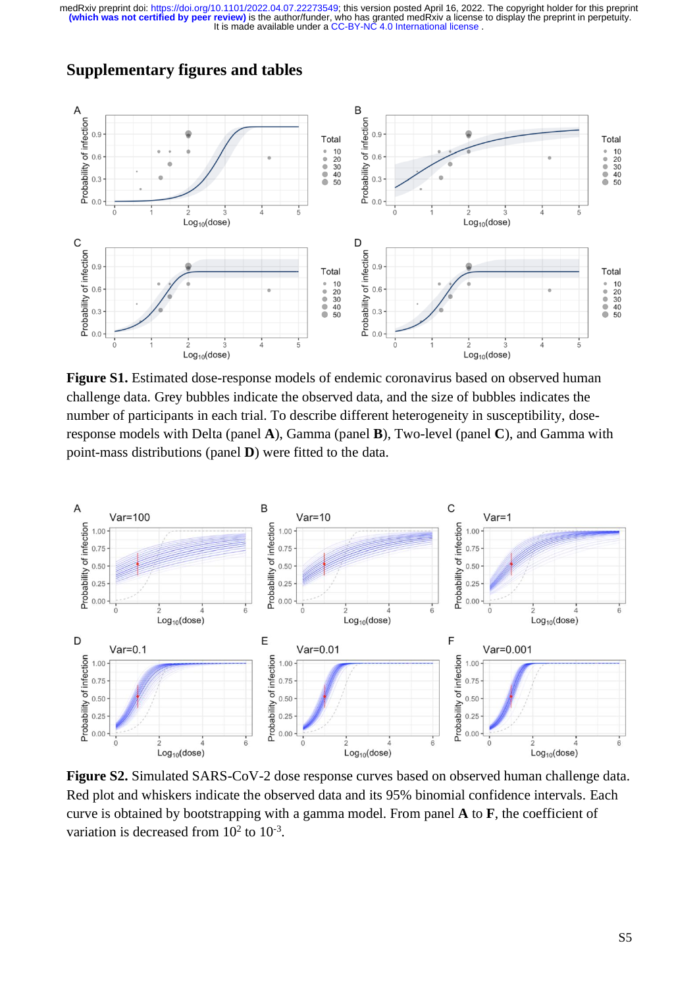

# **Supplementary figures and tables**

**Figure S1.** Estimated dose-response models of endemic coronavirus based on observed human challenge data. Grey bubbles indicate the observed data, and the size of bubbles indicates the number of participants in each trial. To describe different heterogeneity in susceptibility, doseresponse models with Delta (panel **A**), Gamma (panel **B**), Two-level (panel **C**), and Gamma with point-mass distributions (panel **D**) were fitted to the data.



**Figure S2.** Simulated SARS-CoV-2 dose response curves based on observed human challenge data. Red plot and whiskers indicate the observed data and its 95% binomial confidence intervals. Each curve is obtained by bootstrapping with a gamma model. From panel **A** to **F**, the coefficient of variation is decreased from  $10^2$  to  $10^{-3}$ .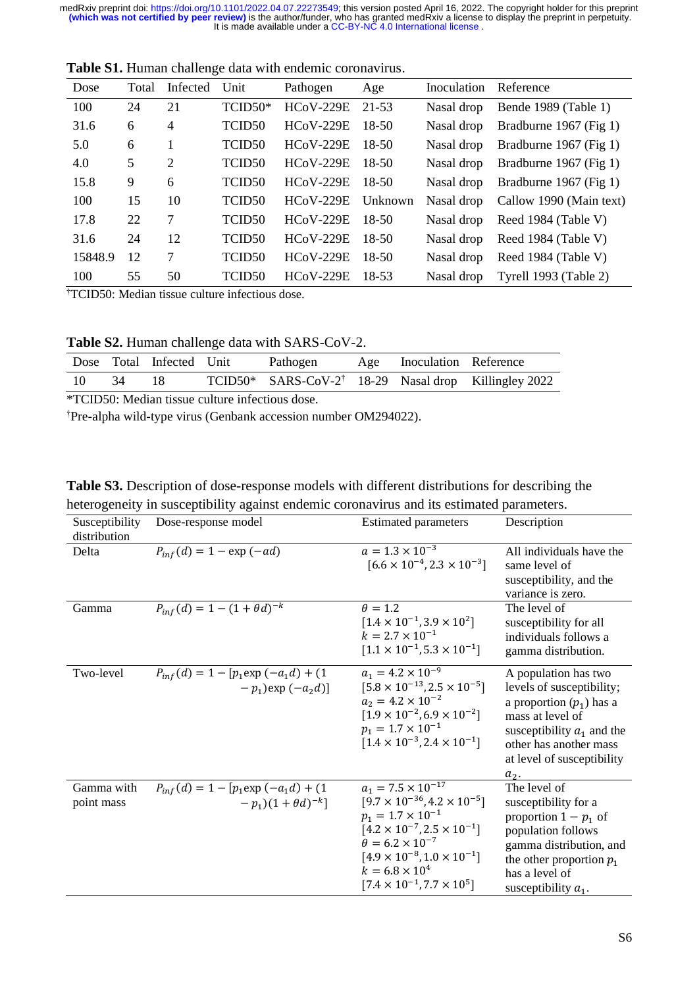| Dose    | Total | Infected       | Unit               | Pathogen         | Age     | Inoculation | Reference                          |
|---------|-------|----------------|--------------------|------------------|---------|-------------|------------------------------------|
| 100     | 24    | 21             | $TCID50*$          | $HCoV-229E$      | 21-53   | Nasal drop  | Bende 1989 (Table 1)               |
| 31.6    | 6     | $\overline{4}$ | TCID <sub>50</sub> | $HCoV-229E$      | $18-50$ | Nasal drop  | Bradburne 1967 (Fig 1)             |
| 5.0     | 6     |                | TCID <sub>50</sub> | $HCoV-229E$      | $18-50$ | Nasal drop  | Bradburne 1967 (Fig 1)             |
| 4.0     | 5     | $\overline{2}$ | TCID <sub>50</sub> | $HCoV-229E$      | 18-50   | Nasal drop  | Bradburne 1967 (Fig 1)             |
| 15.8    | 9     | 6              | TCID <sub>50</sub> | $HCoV-229E$      | 18-50   | Nasal drop  | Bradburne 1967 (Fig 1)             |
| 100     | 15    | 10             | TCID <sub>50</sub> | $HCoV-229E$      | Unknown |             | Nasal drop Callow 1990 (Main text) |
| 17.8    | 22    | 7              | TCID <sub>50</sub> | <b>HCoV-229E</b> | 18-50   | Nasal drop  | Reed 1984 (Table V)                |
| 31.6    | 24    | 12             | TCID <sub>50</sub> | $HCoV-229E$      | 18-50   | Nasal drop  | Reed 1984 (Table V)                |
| 15848.9 | 12    | 7              | TCID <sub>50</sub> | $HCoV-229E$      | $18-50$ | Nasal drop  | Reed 1984 (Table V)                |
| 100     | 55    | 50             | TCID50             | $HCoV-229E$      | 18-53   | Nasal drop  | Tyrell 1993 (Table 2)              |

**Table S1.** Human challenge data with endemic coronavirus.

†TCID50: Median tissue culture infectious dose.

**Table S2.** Human challenge data with SARS-CoV-2.

|  | Dose Total Infected Unit | Pathogen | Age Inoculation Reference |                                                                  |
|--|--------------------------|----------|---------------------------|------------------------------------------------------------------|
|  | 18                       |          |                           | TCID50* SARS-CoV-2 <sup>†</sup> 18-29 Nasal drop Killingley 2022 |

\*TCID50: Median tissue culture infectious dose.

†Pre-alpha wild-type virus (Genbank accession number OM294022).

**Table S3.** Description of dose-response models with different distributions for describing the heterogeneity in susceptibility against endemic coronavirus and its estimated parameters.

| Susceptibility<br>distribution | Dose-response model                                                      | <b>Estimated parameters</b>                                                                                                                                                                                                                                                                                 | Description                                                                                                                                                                                            |
|--------------------------------|--------------------------------------------------------------------------|-------------------------------------------------------------------------------------------------------------------------------------------------------------------------------------------------------------------------------------------------------------------------------------------------------------|--------------------------------------------------------------------------------------------------------------------------------------------------------------------------------------------------------|
| Delta                          | $P_{inf}(d) = 1 - \exp(-ad)$                                             | $a = 1.3 \times 10^{-3}$<br>$[6.6 \times 10^{-4}, 2.3 \times 10^{-3}]$                                                                                                                                                                                                                                      | All individuals have the<br>same level of<br>susceptibility, and the<br>variance is zero.                                                                                                              |
| Gamma                          | $P_{inf}(d) = 1 - (1 + \theta d)^{-k}$                                   | $\theta = 1.2$<br>$[1.4 \times 10^{-1}, 3.9 \times 10^{2}]$<br>$k = 2.7 \times 10^{-1}$<br>$[1.1 \times 10^{-1}, 5.3 \times 10^{-1}]$                                                                                                                                                                       | The level of<br>susceptibility for all<br>individuals follows a<br>gamma distribution.                                                                                                                 |
| Two-level                      | $P_{inf}(d) = 1 - [p_1 \exp(-a_1 d) + (1$<br>$-p_1$ ) exp $(-a_2d)$ ]    | $a_1 = 4.2 \times 10^{-9}$<br>$[5.8 \times 10^{-13}, 2.5 \times 10^{-5}]$<br>$a_2 = 4.2 \times 10^{-2}$<br>$[1.9 \times 10^{-2}, 6.9 \times 10^{-2}]$<br>$p_1 = 1.7 \times 10^{-1}$<br>$[1.4 \times 10^{-3}, 2.4 \times 10^{-1}]$                                                                           | A population has two<br>levels of susceptibility;<br>a proportion $(p_1)$ has a<br>mass at level of<br>susceptibility $a_1$ and the<br>other has another mass<br>at level of susceptibility<br>$a_2$ . |
| Gamma with<br>point mass       | $P_{inf}(d) = 1 - [p_1 \exp(-a_1 d) + (1$<br>$(-p_1)(1 + \theta d)^{-k}$ | $a_1 = 7.5 \times 10^{-17}$<br>$[9.7 \times 10^{-36}, 4.2 \times 10^{-5}]$<br>$p_1 = 1.7 \times 10^{-1}$<br>$[4.2 \times 10^{-7}, 2.5 \times 10^{-1}]$<br>$\theta = 6.2 \times 10^{-7}$<br>$[4.9 \times 10^{-8}, 1.0 \times 10^{-1}]$<br>$k = 6.8 \times 10^4$<br>$[7.4 \times 10^{-1}, 7.7 \times 10^{5}]$ | The level of<br>susceptibility for a<br>proportion $1 - p_1$ of<br>population follows<br>gamma distribution, and<br>the other proportion $p_1$<br>has a level of<br>susceptibility $a_1$ .             |